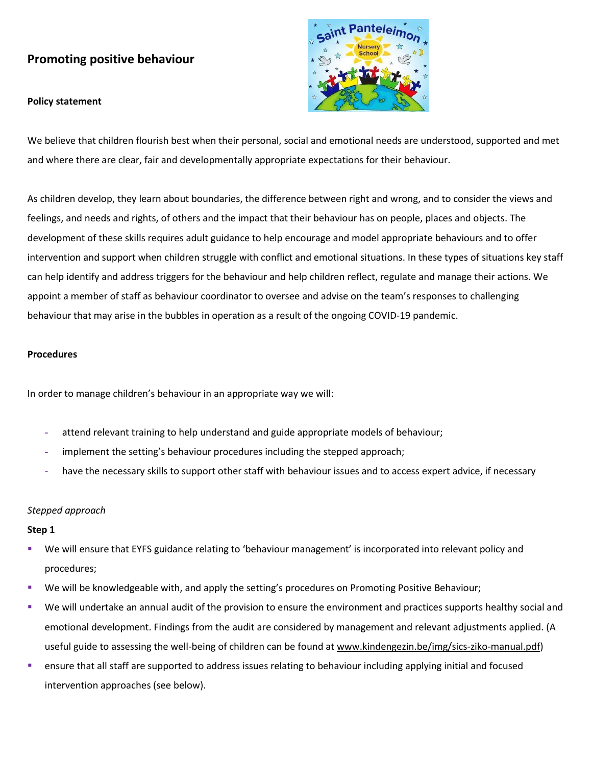# **Promoting positive behaviour**

## **Policy statement**



We believe that children flourish best when their personal, social and emotional needs are understood, supported and met and where there are clear, fair and developmentally appropriate expectations for their behaviour.

As children develop, they learn about boundaries, the difference between right and wrong, and to consider the views and feelings, and needs and rights, of others and the impact that their behaviour has on people, places and objects. The development of these skills requires adult guidance to help encourage and model appropriate behaviours and to offer intervention and support when children struggle with conflict and emotional situations. In these types of situations key staff can help identify and address triggers for the behaviour and help children reflect, regulate and manage their actions. We appoint a member of staff as behaviour coordinator to oversee and advise on the team's responses to challenging behaviour that may arise in the bubbles in operation as a result of the ongoing COVID-19 pandemic.

## **Procedures**

In order to manage children's behaviour in an appropriate way we will:

- **-** attend relevant training to help understand and guide appropriate models of behaviour;
- **-** implement the setting's behaviour procedures including the stepped approach;
- **-** have the necessary skills to support other staff with behaviour issues and to access expert advice, if necessary

## *Stepped approach*

## **Step 1**

- We will ensure that EYFS guidance relating to 'behaviour management' is incorporated into relevant policy and procedures;
- We will be knowledgeable with, and apply the setting's procedures on Promoting Positive Behaviour;
- We will undertake an annual audit of the provision to ensure the environment and practices supports healthy social and emotional development. Findings from the audit are considered by management and relevant adjustments applied. (A useful guide to assessing the well-being of children can be found a[t www.kindengezin.be/img/sics-ziko-manual.pdf\)](http://www.kindengezin.be/img/sics-ziko-manual.pdf)
- ensure that all staff are supported to address issues relating to behaviour including applying initial and focused intervention approaches (see below).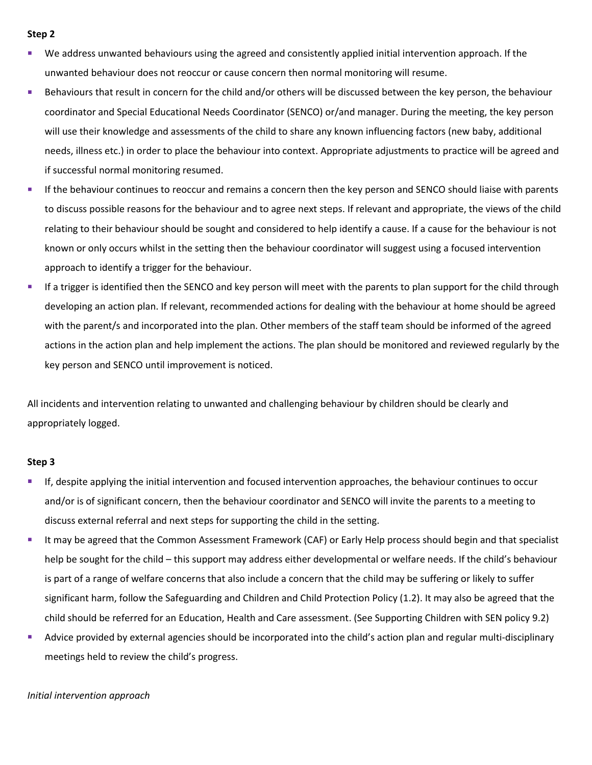#### **Step 2**

- We address unwanted behaviours using the agreed and consistently applied initial intervention approach. If the unwanted behaviour does not reoccur or cause concern then normal monitoring will resume.
- **EXECT** Behaviours that result in concern for the child and/or others will be discussed between the key person, the behaviour coordinator and Special Educational Needs Coordinator (SENCO) or/and manager. During the meeting, the key person will use their knowledge and assessments of the child to share any known influencing factors (new baby, additional needs, illness etc.) in order to place the behaviour into context. Appropriate adjustments to practice will be agreed and if successful normal monitoring resumed.
- If the behaviour continues to reoccur and remains a concern then the key person and SENCO should liaise with parents to discuss possible reasons for the behaviour and to agree next steps. If relevant and appropriate, the views of the child relating to their behaviour should be sought and considered to help identify a cause. If a cause for the behaviour is not known or only occurs whilst in the setting then the behaviour coordinator will suggest using a focused intervention approach to identify a trigger for the behaviour.
- **■** If a trigger is identified then the SENCO and key person will meet with the parents to plan support for the child through developing an action plan. If relevant, recommended actions for dealing with the behaviour at home should be agreed with the parent/s and incorporated into the plan. Other members of the staff team should be informed of the agreed actions in the action plan and help implement the actions. The plan should be monitored and reviewed regularly by the key person and SENCO until improvement is noticed.

All incidents and intervention relating to unwanted and challenging behaviour by children should be clearly and appropriately logged.

#### **Step 3**

- If, despite applying the initial intervention and focused intervention approaches, the behaviour continues to occur and/or is of significant concern, then the behaviour coordinator and SENCO will invite the parents to a meeting to discuss external referral and next steps for supporting the child in the setting.
- It may be agreed that the Common Assessment Framework (CAF) or Early Help process should begin and that specialist help be sought for the child – this support may address either developmental or welfare needs. If the child's behaviour is part of a range of welfare concerns that also include a concern that the child may be suffering or likely to suffer significant harm, follow the Safeguarding and Children and Child Protection Policy (1.2). It may also be agreed that the child should be referred for an Education, Health and Care assessment. (See Supporting Children with SEN policy 9.2)
- **EXTEND Advice provided by external agencies should be incorporated into the child's action plan and regular multi-disciplinary** meetings held to review the child's progress.

#### *Initial intervention approach*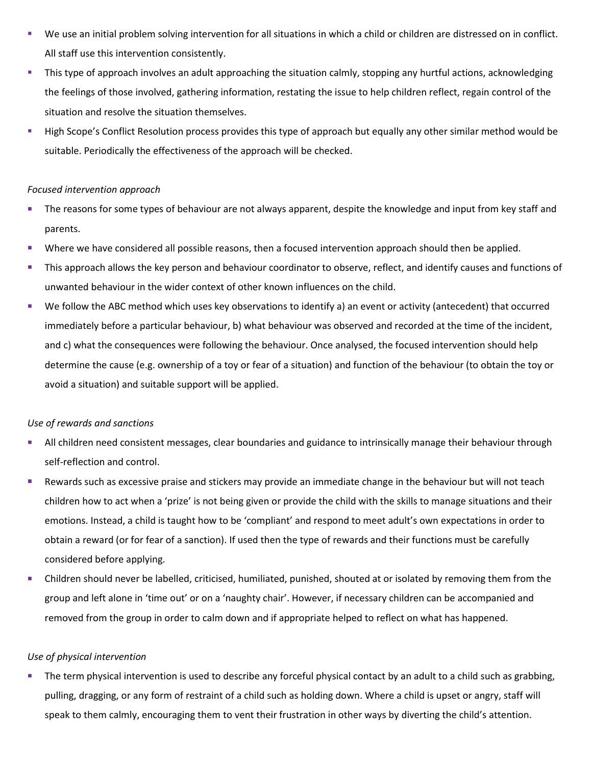- We use an initial problem solving intervention for all situations in which a child or children are distressed on in conflict. All staff use this intervention consistently.
- **This type of approach involves an adult approaching the situation calmly, stopping any hurtful actions, acknowledging** the feelings of those involved, gathering information, restating the issue to help children reflect, regain control of the situation and resolve the situation themselves.
- High Scope's Conflict Resolution process provides this type of approach but equally any other similar method would be suitable. Periodically the effectiveness of the approach will be checked.

## *Focused intervention approach*

- The reasons for some types of behaviour are not always apparent, despite the knowledge and input from key staff and parents.
- Where we have considered all possible reasons, then a focused intervention approach should then be applied.
- **This approach allows the key person and behaviour coordinator to observe, reflect, and identify causes and functions of** unwanted behaviour in the wider context of other known influences on the child.
- We follow the ABC method which uses key observations to identify a) an event or activity (antecedent) that occurred immediately before a particular behaviour, b) what behaviour was observed and recorded at the time of the incident, and c) what the consequences were following the behaviour. Once analysed, the focused intervention should help determine the cause (e.g. ownership of a toy or fear of a situation) and function of the behaviour (to obtain the toy or avoid a situation) and suitable support will be applied.

## *Use of rewards and sanctions*

- **EXTEN All children need consistent messages, clear boundaries and guidance to intrinsically manage their behaviour through** self-reflection and control.
- Rewards such as excessive praise and stickers may provide an immediate change in the behaviour but will not teach children how to act when a 'prize' is not being given or provide the child with the skills to manage situations and their emotions. Instead, a child is taught how to be 'compliant' and respond to meet adult's own expectations in order to obtain a reward (or for fear of a sanction). If used then the type of rewards and their functions must be carefully considered before applying.
- Children should never be labelled, criticised, humiliated, punished, shouted at or isolated by removing them from the group and left alone in 'time out' or on a 'naughty chair'. However, if necessary children can be accompanied and removed from the group in order to calm down and if appropriate helped to reflect on what has happened.

## *Use of physical intervention*

The term physical intervention is used to describe any forceful physical contact by an adult to a child such as grabbing, pulling, dragging, or any form of restraint of a child such as holding down. Where a child is upset or angry, staff will speak to them calmly, encouraging them to vent their frustration in other ways by diverting the child's attention.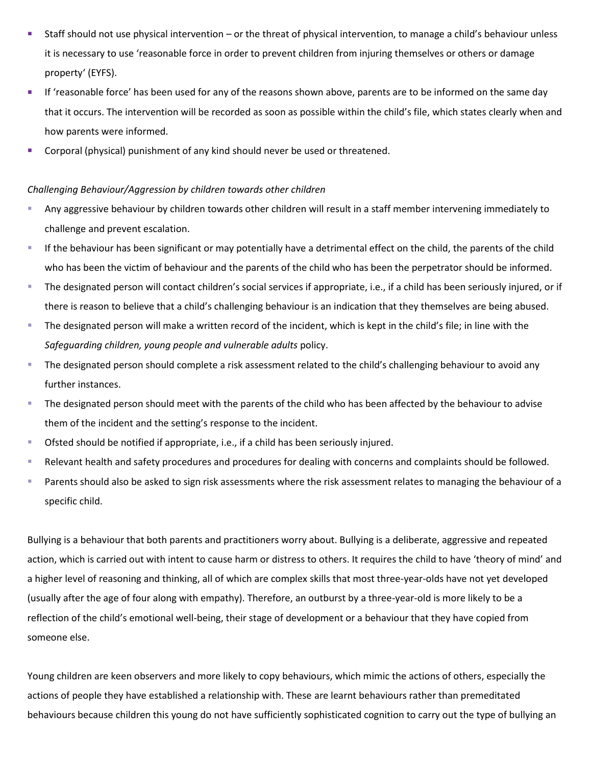- Staff should not use physical intervention or the threat of physical intervention, to manage a child's behaviour unless it is necessary to use 'reasonable force in order to prevent children from injuring themselves or others or damage property' (EYFS).
- **■** If 'reasonable force' has been used for any of the reasons shown above, parents are to be informed on the same day that it occurs. The intervention will be recorded as soon as possible within the child's file, which states clearly when and how parents were informed.
- Corporal (physical) punishment of any kind should never be used or threatened.

### *Challenging Behaviour/Aggression by children towards other children*

- Any aggressive behaviour by children towards other children will result in a staff member intervening immediately to challenge and prevent escalation.
- If the behaviour has been significant or may potentially have a detrimental effect on the child, the parents of the child who has been the victim of behaviour and the parents of the child who has been the perpetrator should be informed.
- The designated person will contact children's social services if appropriate, i.e., if a child has been seriously injured, or if there is reason to believe that a child's challenging behaviour is an indication that they themselves are being abused.
- The designated person will make a written record of the incident, which is kept in the child's file; in line with the *Safeguarding children, young people and vulnerable adults* policy.
- The designated person should complete a risk assessment related to the child's challenging behaviour to avoid any further instances.
- The designated person should meet with the parents of the child who has been affected by the behaviour to advise them of the incident and the setting's response to the incident.
- Ofsted should be notified if appropriate, i.e., if a child has been seriously injured.
- Relevant health and safety procedures and procedures for dealing with concerns and complaints should be followed.
- Parents should also be asked to sign risk assessments where the risk assessment relates to managing the behaviour of a specific child.

Bullying is a behaviour that both parents and practitioners worry about. Bullying is a deliberate, aggressive and repeated action, which is carried out with intent to cause harm or distress to others. It requires the child to have 'theory of mind' and a higher level of reasoning and thinking, all of which are complex skills that most three-year-olds have not yet developed (usually after the age of four along with empathy). Therefore, an outburst by a three-year-old is more likely to be a reflection of the child's emotional well-being, their stage of development or a behaviour that they have copied from someone else.

Young children are keen observers and more likely to copy behaviours, which mimic the actions of others, especially the actions of people they have established a relationship with. These are learnt behaviours rather than premeditated behaviours because children this young do not have sufficiently sophisticated cognition to carry out the type of bullying an